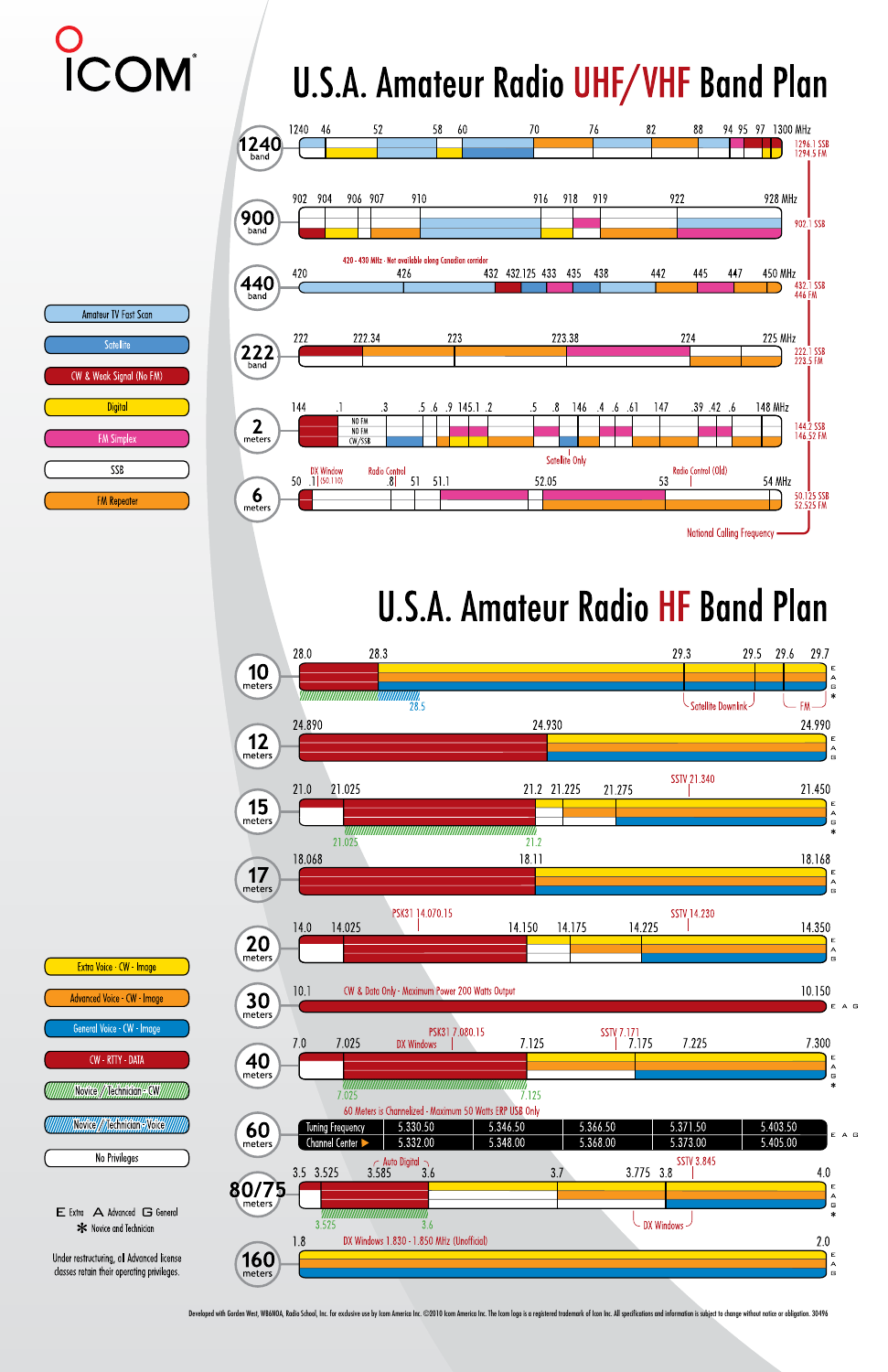# COM

### U.S.A. Amateur Radio UHF/VHF Band Plan



#### U.S.A. Amateur Radio HF Band Plan





Developed with Gorden West, WB6NOA, Radio School, Inc. for exclusive use by Icom America Inc. ©2010 Icom America Inc. The Icom logo is a registered trademark of Icon Inc. All specifications and information is subject to ch